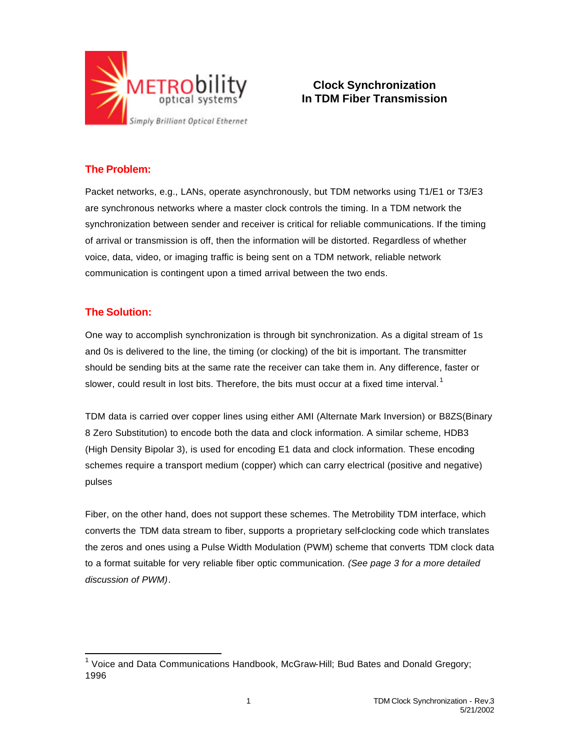

# **Clock Synchronization In TDM Fiber Transmission**

# **The Problem:**

Packet networks, e.g., LANs, operate asynchronously, but TDM networks using T1/E1 or T3/E3 are synchronous networks where a master clock controls the timing. In a TDM network the synchronization between sender and receiver is critical for reliable communications. If the timing of arrival or transmission is off, then the information will be distorted. Regardless of whether voice, data, video, or imaging traffic is being sent on a TDM network, reliable network communication is contingent upon a timed arrival between the two ends.

### **The Solution:**

One way to accomplish synchronization is through bit synchronization. As a digital stream of 1s and 0s is delivered to the line, the timing (or clocking) of the bit is important. The transmitter should be sending bits at the same rate the receiver can take them in. Any difference, faster or slower, could result in lost bits. Therefore, the bits must occur at a fixed time interval.<sup>1</sup>

TDM data is carried over copper lines using either AMI (Alternate Mark Inversion) or B8ZS(Binary 8 Zero Substitution) to encode both the data and clock information. A similar scheme, HDB3 (High Density Bipolar 3), is used for encoding E1 data and clock information. These encoding schemes require a transport medium (copper) which can carry electrical (positive and negative) pulses

Fiber, on the other hand, does not support these schemes. The Metrobility TDM interface, which converts the TDM data stream to fiber, supports a proprietary self-clocking code which translates the zeros and ones using a Pulse Width Modulation (PWM) scheme that converts TDM clock data to a format suitable for very reliable fiber optic communication. *(See page 3 for a more detailed discussion of PWM)*.

 1 Voice and Data Communications Handbook, McGraw-Hill; Bud Bates and Donald Gregory; 1996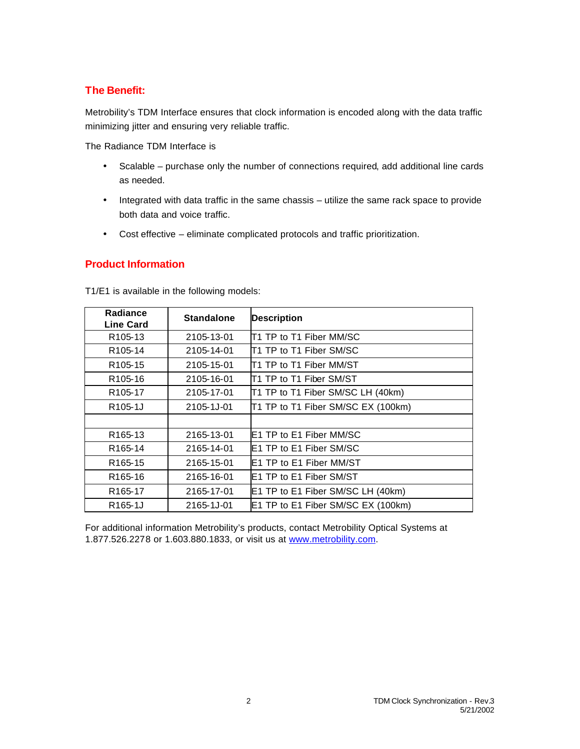# **The Benefit:**

Metrobility's TDM Interface ensures that clock information is encoded along with the data traffic minimizing jitter and ensuring very reliable traffic.

The Radiance TDM Interface is

- Scalable purchase only the number of connections required, add additional line cards as needed.
- Integrated with data traffic in the same chassis utilize the same rack space to provide both data and voice traffic.
- Cost effective eliminate complicated protocols and traffic prioritization.

### **Product Information**

| Radiance<br><b>Line Card</b> | <b>Standalone</b> | <b>Description</b>                 |
|------------------------------|-------------------|------------------------------------|
| R <sub>105</sub> -13         | 2105-13-01        | IT1 TP to T1 Fiber MM/SC           |
| R <sub>105</sub> -14         | 2105-14-01        | IT1 TP to T1 Fiber SM/SC           |
| R <sub>105</sub> -15         | 2105-15-01        | T1 TP to T1 Fiber MM/ST            |
| R <sub>105</sub> -16         | 2105-16-01        | T1 TP to T1 Fiber SM/ST            |
| R <sub>105</sub> -17         | 2105-17-01        | T1 TP to T1 Fiber SM/SC LH (40km)  |
| R <sub>105</sub> -1J         | 2105-1J-01        | T1 TP to T1 Fiber SM/SC EX (100km) |
|                              |                   |                                    |
| R <sub>165</sub> -13         | 2165-13-01        | <b>IE1 TP to E1 Fiber MM/SC</b>    |
| R <sub>165</sub> -14         | 2165-14-01        | <b>IE1 TP to E1 Fiber SM/SC</b>    |
| R <sub>165</sub> -15         | 2165-15-01        | E1 TP to E1 Fiber MM/ST            |
| R <sub>165</sub> -16         | 2165-16-01        | E1 TP to E1 Fiber SM/ST            |
| R <sub>165</sub> -17         | 2165-17-01        | E1 TP to E1 Fiber SM/SC LH (40km)  |
| R <sub>165</sub> -1J         | 2165-1J-01        | E1 TP to E1 Fiber SM/SC EX (100km) |

T1/E1 is available in the following models:

For additional information Metrobility's products, contact Metrobility Optical Systems at 1.877.526.2278 or 1.603.880.1833, or visit us at www.metrobility.com.